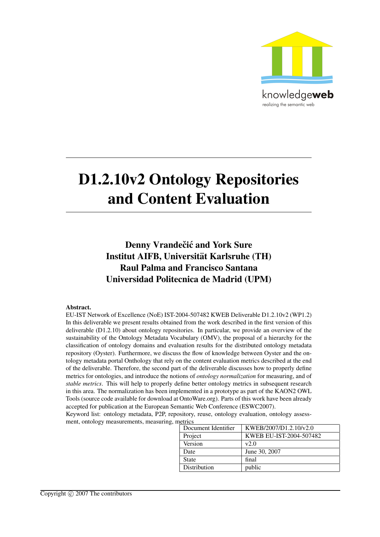

# D1.2.10v2 Ontology Repositories and Content Evaluation

Denny Vrandečić and York Sure Institut AIFB, Universitat Karlsruhe (TH) ¨ Raul Palma and Francisco Santana Universidad Politecnica de Madrid (UPM)

#### Abstract.

EU-IST Network of Excellence (NoE) IST-2004-507482 KWEB Deliverable D1.2.10v2 (WP1.2) In this deliverable we present results obtained from the work described in the first version of this deliverable (D1.2.10) about ontology repositories. In particular, we provide an overview of the sustainability of the Ontology Metadata Vocabulary (OMV), the proposal of a hierarchy for the classification of ontology domains and evaluation results for the distributed ontology metadata repository (Oyster). Furthermore, we discuss the flow of knowledge between Oyster and the ontology metadata portal Onthology that rely on the content evaluation metrics described at the end of the deliverable. Therefore, the second part of the deliverable discusses how to properly define metrics for ontologies, and introduce the notions of *ontology normalization* for measuring, and of *stable metrics*. This will help to properly define better ontology metrics in subsequent research in this area. The normalization has been implemented in a prototype as part of the KAON2 OWL Tools (source code available for download at OntoWare.org). Parts of this work have been already accepted for publication at the European Semantic Web Conference (ESWC2007).

Keyword list: ontology metadata, P2P, repository, reuse, ontology evaluation, ontology assessment, ontology measurements, measuring, metrics

| Document Identifier | KWEB/2007/D1.2.10/v2.0  |
|---------------------|-------------------------|
| Project             | KWEB EU-IST-2004-507482 |
| Version             | v2.0                    |
| Date                | June 30, 2007           |
| <b>State</b>        | final                   |
| Distribution        | public                  |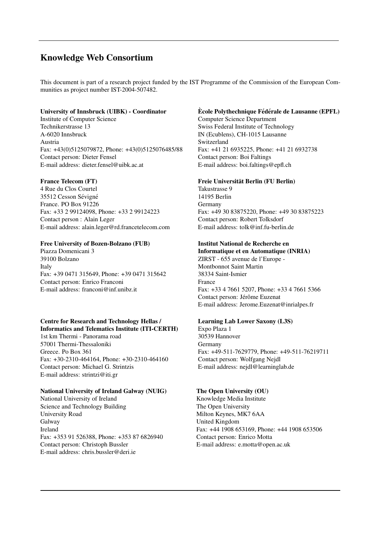### Knowledge Web Consortium

This document is part of a research project funded by the IST Programme of the Commission of the European Communities as project number IST-2004-507482.

#### University of Innsbruck (UIBK) - Coordinator

Institute of Computer Science Technikerstrasse 13 A-6020 Innsbruck Austria Fax: +43(0)5125079872, Phone: +43(0)5125076485/88 Contact person: Dieter Fensel E-mail address: dieter.fensel@uibk.ac.at

#### France Telecom (FT)

4 Rue du Clos Courtel 35512 Cesson Sévigné France. PO Box 91226 Fax: +33 2 99124098, Phone: +33 2 99124223 Contact person : Alain Leger E-mail address: alain.leger@rd.francetelecom.com

#### Free University of Bozen-Bolzano (FUB)

Piazza Domenicani 3 39100 Bolzano Italy Fax: +39 0471 315649, Phone: +39 0471 315642 Contact person: Enrico Franconi E-mail address: franconi@inf.unibz.it

#### Centre for Research and Technology Hellas / Informatics and Telematics Institute (ITI-CERTH)

1st km Thermi - Panorama road 57001 Thermi-Thessaloniki Greece. Po Box 361 Fax: +30-2310-464164, Phone: +30-2310-464160 Contact person: Michael G. Strintzis E-mail address: strintzi@iti.gr

#### National University of Ireland Galway (NUIG)

National University of Ireland Science and Technology Building University Road Galway Ireland Fax: +353 91 526388, Phone: +353 87 6826940 Contact person: Christoph Bussler E-mail address: chris.bussler@deri.ie

#### Ècole Polythechnique Fédérale de Lausanne (EPFL)

Computer Science Department Swiss Federal Institute of Technology IN (Ecublens), CH-1015 Lausanne Switzerland Fax: +41 21 6935225, Phone: +41 21 6932738 Contact person: Boi Faltings E-mail address: boi.faltings@epfl.ch

#### Freie Universitat Berlin (FU Berlin) ¨

Takustrasse 9 14195 Berlin Germany Fax: +49 30 83875220, Phone: +49 30 83875223 Contact person: Robert Tolksdorf E-mail address: tolk@inf.fu-berlin.de

#### Institut National de Recherche en

#### Informatique et en Automatique (INRIA)

ZIRST - 655 avenue de l'Europe - Montbonnot Saint Martin 38334 Saint-Ismier France Fax: +33 4 7661 5207, Phone: +33 4 7661 5366 Contact person: Jérôme Euzenat E-mail address: Jerome.Euzenat@inrialpes.fr

#### Learning Lab Lower Saxony (L3S)

Expo Plaza 1 30539 Hannover Germany Fax: +49-511-7629779, Phone: +49-511-76219711 Contact person: Wolfgang Nejdl E-mail address: nejdl@learninglab.de

#### The Open University (OU)

Knowledge Media Institute The Open University Milton Keynes, MK7 6AA United Kingdom Fax: +44 1908 653169, Phone: +44 1908 653506 Contact person: Enrico Motta E-mail address: e.motta@open.ac.uk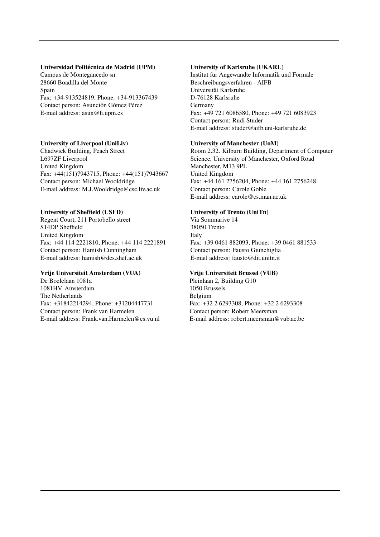#### Universidad Politécnica de Madrid (UPM)

Campus de Montegancedo sn 28660 Boadilla del Monte Spain Fax: +34-913524819, Phone: +34-913367439 Contact person: Asunción Gómez Pérez E-mail address: asun@fi.upm.es

#### University of Liverpool (UniLiv)

Chadwick Building, Peach Street L697ZF Liverpool United Kingdom Fax: +44(151)7943715, Phone: +44(151)7943667 Contact person: Michael Wooldridge E-mail address: M.J.Wooldridge@csc.liv.ac.uk

#### University of Sheffield (USFD)

Regent Court, 211 Portobello street S14DP Sheffield United Kingdom Fax: +44 114 2221810, Phone: +44 114 2221891 Contact person: Hamish Cunningham E-mail address: hamish@dcs.shef.ac.uk

#### Vrije Universiteit Amsterdam (VUA)

De Boelelaan 1081a 1081HV. Amsterdam The Netherlands Fax: +31842214294, Phone: +31204447731 Contact person: Frank van Harmelen E-mail address: Frank.van.Harmelen@cs.vu.nl

#### University of Karlsruhe (UKARL)

Institut fur Angewandte Informatik und Formale ¨ Beschreibungsverfahren - AIFB Universität Karlsruhe D-76128 Karlsruhe Germany Fax: +49 721 6086580, Phone: +49 721 6083923 Contact person: Rudi Studer E-mail address: studer@aifb.uni-karlsruhe.de

#### University of Manchester (UoM)

Room 2.32. Kilburn Building, Department of Computer Science, University of Manchester, Oxford Road Manchester, M13 9PL United Kingdom Fax: +44 161 2756204, Phone: +44 161 2756248 Contact person: Carole Goble E-mail address: carole@cs.man.ac.uk

#### University of Trento (UniTn)

Via Sommarive 14 38050 Trento Italy Fax: +39 0461 882093, Phone: +39 0461 881533 Contact person: Fausto Giunchiglia E-mail address: fausto@dit.unitn.it

#### Vrije Universiteit Brussel (VUB)

Pleinlaan 2, Building G10 1050 Brussels Belgium Fax: +32 2 6293308, Phone: +32 2 6293308 Contact person: Robert Meersman E-mail address: robert.meersman@vub.ac.be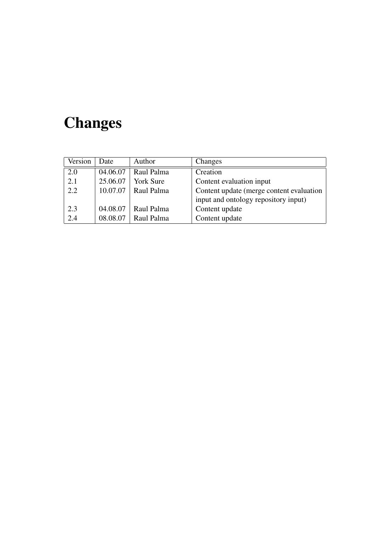# **Changes**

| Version | Date     | Author     | Changes                                   |
|---------|----------|------------|-------------------------------------------|
| 2.0     | 04.06.07 | Raul Palma | Creation                                  |
| 2.1     | 25.06.07 | York Sure  | Content evaluation input                  |
| 2.2     | 10.07.07 | Raul Palma | Content update (merge content evaluation) |
|         |          |            | input and ontology repository input)      |
| 2.3     | 04.08.07 | Raul Palma | Content update                            |
| 2.4     | 08.08.07 | Raul Palma | Content update                            |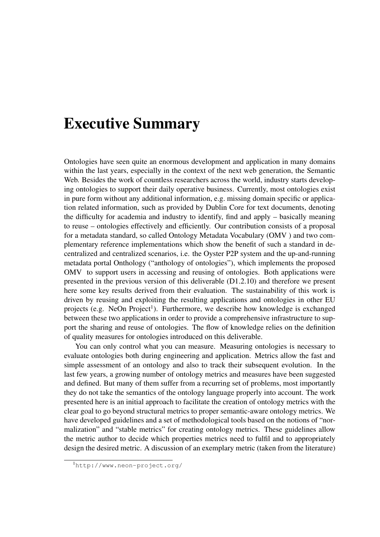# Executive Summary

Ontologies have seen quite an enormous development and application in many domains within the last years, especially in the context of the next web generation, the Semantic Web. Besides the work of countless researchers across the world, industry starts developing ontologies to support their daily operative business. Currently, most ontologies exist in pure form without any additional information, e.g. missing domain specific or application related information, such as provided by Dublin Core for text documents, denoting the difficulty for academia and industry to identify, find and apply – basically meaning to reuse – ontologies effectively and efficiently. Our contribution consists of a proposal for a metadata standard, so called Ontology Metadata Vocabulary (OMV ) and two complementary reference implementations which show the benefit of such a standard in decentralized and centralized scenarios, i.e. the Oyster P2P system and the up-and-running metadata portal Onthology ("anthology of ontologies"), which implements the proposed OMV to support users in accessing and reusing of ontologies. Both applications were presented in the previous version of this deliverable (D1.2.10) and therefore we present here some key results derived from their evaluation. The sustainability of this work is driven by reusing and exploiting the resulting applications and ontologies in other EU projects (e.g. NeOn Project<sup>1</sup>). Furthermore, we describe how knowledge is exchanged between these two applications in order to provide a comprehensive infrastructure to support the sharing and reuse of ontologies. The flow of knowledge relies on the definition of quality measures for ontologies introduced on this deliverable.

You can only control what you can measure. Measuring ontologies is necessary to evaluate ontologies both during engineering and application. Metrics allow the fast and simple assessment of an ontology and also to track their subsequent evolution. In the last few years, a growing number of ontology metrics and measures have been suggested and defined. But many of them suffer from a recurring set of problems, most importantly they do not take the semantics of the ontology language properly into account. The work presented here is an initial approach to facilitate the creation of ontology metrics with the clear goal to go beyond structural metrics to proper semantic-aware ontology metrics. We have developed guidelines and a set of methodological tools based on the notions of "normalization" and "stable metrics" for creating ontology metrics. These guidelines allow the metric author to decide which properties metrics need to fulfil and to appropriately design the desired metric. A discussion of an exemplary metric (taken from the literature)

<sup>1</sup>http://www.neon-project.org/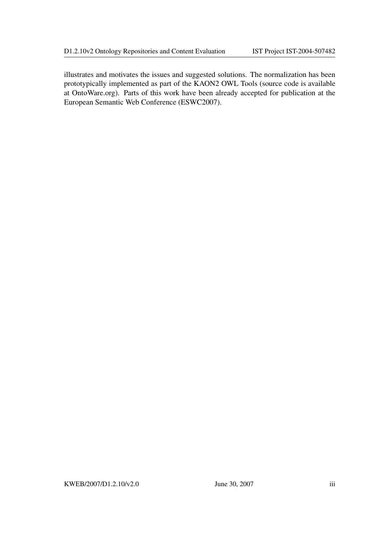illustrates and motivates the issues and suggested solutions. The normalization has been prototypically implemented as part of the KAON2 OWL Tools (source code is available at OntoWare.org). Parts of this work have been already accepted for publication at the European Semantic Web Conference (ESWC2007).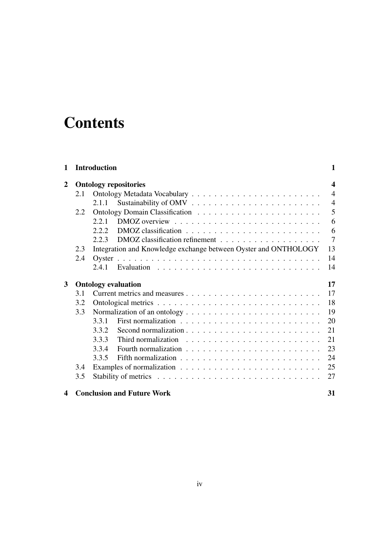# **Contents**

| 1                |                            | <b>Introduction</b>                                             | 1              |  |  |  |
|------------------|----------------------------|-----------------------------------------------------------------|----------------|--|--|--|
| $\mathbf{2}$     |                            | <b>Ontology repositories</b>                                    |                |  |  |  |
|                  | 2.1                        |                                                                 | $\overline{4}$ |  |  |  |
|                  |                            | 2.1.1                                                           | $\overline{4}$ |  |  |  |
|                  | 2.2                        |                                                                 | 5              |  |  |  |
|                  |                            | 2.2.1                                                           | 6              |  |  |  |
|                  |                            | 2.2.2.                                                          | 6              |  |  |  |
|                  |                            | 2.2.3                                                           | $\overline{7}$ |  |  |  |
|                  | 2.3                        | Integration and Knowledge exchange between Oyster and ONTHOLOGY | 13             |  |  |  |
|                  | 2.4                        |                                                                 | 14             |  |  |  |
|                  |                            | 2.4.1                                                           | 14             |  |  |  |
| 3                | <b>Ontology evaluation</b> |                                                                 |                |  |  |  |
|                  | 3.1                        |                                                                 |                |  |  |  |
|                  | 3.2                        |                                                                 | 18             |  |  |  |
|                  | 3.3                        |                                                                 | 19             |  |  |  |
|                  |                            | 3.3.1                                                           | 20             |  |  |  |
|                  |                            | 3.3.2                                                           | 21             |  |  |  |
|                  |                            | 3.3.3                                                           | 21             |  |  |  |
|                  |                            | 3.3.4                                                           | 23             |  |  |  |
|                  |                            | 3.3.5                                                           | 24             |  |  |  |
|                  | 3.4                        |                                                                 | 25             |  |  |  |
|                  | 3.5                        |                                                                 | 27             |  |  |  |
| $\boldsymbol{4}$ |                            | <b>Conclusion and Future Work</b>                               | 31             |  |  |  |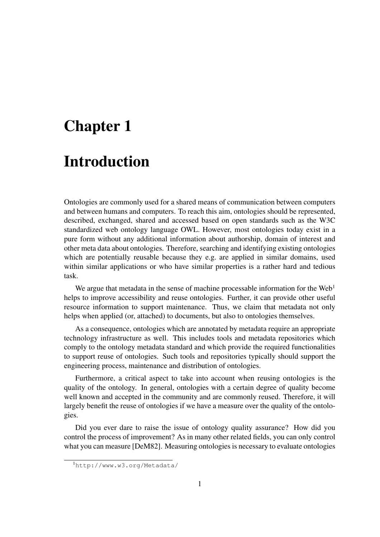# Chapter 1 Introduction

Ontologies are commonly used for a shared means of communication between computers and between humans and computers. To reach this aim, ontologies should be represented, described, exchanged, shared and accessed based on open standards such as the W3C standardized web ontology language OWL. However, most ontologies today exist in a pure form without any additional information about authorship, domain of interest and other meta data about ontologies. Therefore, searching and identifying existing ontologies which are potentially reusable because they e.g. are applied in similar domains, used within similar applications or who have similar properties is a rather hard and tedious task.

We argue that metadata in the sense of machine processable information for the  $Web<sup>1</sup>$ helps to improve accessibility and reuse ontologies. Further, it can provide other useful resource information to support maintenance. Thus, we claim that metadata not only helps when applied (or, attached) to documents, but also to ontologies themselves.

As a consequence, ontologies which are annotated by metadata require an appropriate technology infrastructure as well. This includes tools and metadata repositories which comply to the ontology metadata standard and which provide the required functionalities to support reuse of ontologies. Such tools and repositories typically should support the engineering process, maintenance and distribution of ontologies.

Furthermore, a critical aspect to take into account when reusing ontologies is the quality of the ontology. In general, ontologies with a certain degree of quality become well known and accepted in the community and are commonly reused. Therefore, it will largely benefit the reuse of ontologies if we have a measure over the quality of the ontologies.

Did you ever dare to raise the issue of ontology quality assurance? How did you control the process of improvement? As in many other related fields, you can only control what you can measure [DeM82]. Measuring ontologies is necessary to evaluate ontologies

<sup>1</sup>http://www.w3.org/Metadata/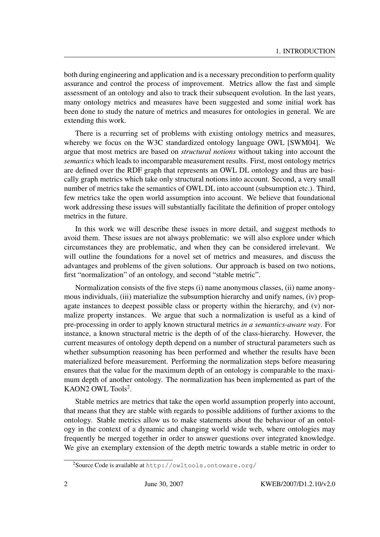both during engineering and application and is a necessary precondition to perform quality assurance and control the process of improvement. Metrics allow the fast and simple assessment of an ontology and also to track their subsequent evolution. In the last years, many ontology metrics and measures have been suggested and some initial work has been done to study the nature of metrics and measures for ontologies in general. We are extending this work.

There is a recurring set of problems with existing ontology metrics and measures, whereby we focus on the W3C standardized ontology language OWL [SWM04]. We argue that most metrics are based on *structural notions* without taking into account the *semantics* which leads to incomparable measurement results. First, most ontology metrics are defined over the RDF graph that represents an OWL DL ontology and thus are basically graph metrics which take only structural notions into account. Second, a very small number of metrics take the semantics of OWL DL into account (subsumption etc.). Third, few metrics take the open world assumption into account. We believe that foundational work addressing these issues will substantially facilitate the definition of proper ontology metrics in the future.

In this work we will describe these issues in more detail, and suggest methods to avoid them. These issues are not always problematic: we will also explore under which circumstances they are problematic, and when they can be considered irrelevant. We will outline the foundations for a novel set of metrics and measures, and discuss the advantages and problems of the given solutions. Our approach is based on two notions, first "normalization" of an ontology, and second "stable metric".

Normalization consists of the five steps (i) name anonymous classes, (ii) name anonymous individuals, (iii) materialize the subsumption hierarchy and unify names, (iv) propagate instances to deepest possible class or property within the hierarchy, and (v) normalize property instances. We argue that such a normalization is useful as a kind of pre-processing in order to apply known structural metrics *in a semantics-aware way*. For instance, a known structural metric is the depth of of the class-hierarchy. However, the current measures of ontology depth depend on a number of structural parameters such as whether subsumption reasoning has been performed and whether the results have been materialized before measurement. Performing the normalization steps before measuring ensures that the value for the maximum depth of an ontology is comparable to the maximum depth of another ontology. The normalization has been implemented as part of the KAON2 OWL Tools<sup>2</sup>.

Stable metrics are metrics that take the open world assumption properly into account, that means that they are stable with regards to possible additions of further axioms to the ontology. Stable metrics allow us to make statements about the behaviour of an ontology in the context of a dynamic and changing world wide web, where ontologies may frequently be merged together in order to answer questions over integrated knowledge. We give an exemplary extension of the depth metric towards a stable metric in order to

<sup>2</sup>Source Code is available at http://owltools.ontoware.org/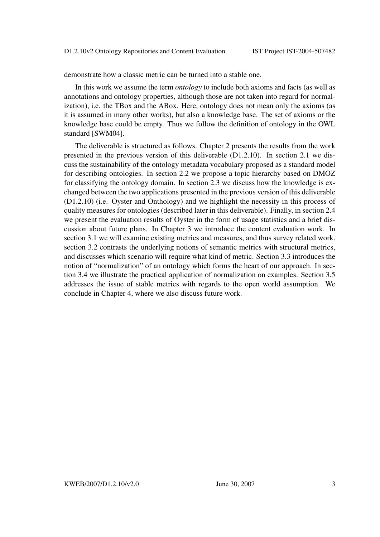demonstrate how a classic metric can be turned into a stable one.

In this work we assume the term *ontology* to include both axioms and facts (as well as annotations and ontology properties, although those are not taken into regard for normalization), i.e. the TBox and the ABox. Here, ontology does not mean only the axioms (as it is assumed in many other works), but also a knowledge base. The set of axioms or the knowledge base could be empty. Thus we follow the definition of ontology in the OWL standard [SWM04].

The deliverable is structured as follows. Chapter 2 presents the results from the work presented in the previous version of this deliverable (D1.2.10). In section 2.1 we discuss the sustainability of the ontology metadata vocabulary proposed as a standard model for describing ontologies. In section 2.2 we propose a topic hierarchy based on DMOZ for classifying the ontology domain. In section 2.3 we discuss how the knowledge is exchanged between the two applications presented in the previous version of this deliverable (D1.2.10) (i.e. Oyster and Onthology) and we highlight the necessity in this process of quality measures for ontologies (described later in this deliverable). Finally, in section 2.4 we present the evaluation results of Oyster in the form of usage statistics and a brief discussion about future plans. In Chapter 3 we introduce the content evaluation work. In section 3.1 we will examine existing metrics and measures, and thus survey related work. section 3.2 contrasts the underlying notions of semantic metrics with structural metrics, and discusses which scenario will require what kind of metric. Section 3.3 introduces the notion of "normalization" of an ontology which forms the heart of our approach. In section 3.4 we illustrate the practical application of normalization on examples. Section 3.5 addresses the issue of stable metrics with regards to the open world assumption. We conclude in Chapter 4, where we also discuss future work.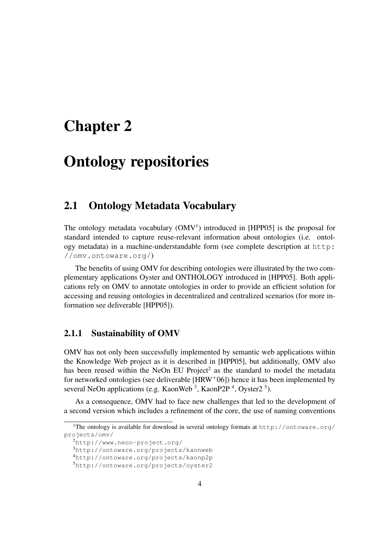# Chapter 2

# Ontology repositories

### 2.1 Ontology Metadata Vocabulary

The ontology metadata vocabulary  $(OMV<sup>1</sup>)$  introduced in [HPP05] is the proposal for standard intended to capture reuse-relevant information about ontologies (i.e. ontology metadata) in a machine-understandable form (see complete description at http: //omv.ontoware.org/)

The benefits of using OMV for describing ontologies were illustrated by the two complementary applications Oyster and ONTHOLOGY introduced in [HPP05]. Both applications rely on OMV to annotate ontologies in order to provide an efficient solution for accessing and reusing ontologies in decentralized and centralized scenarios (for more information see deliverable [HPP05]).

#### 2.1.1 Sustainability of OMV

OMV has not only been successfully implemented by semantic web applications within the Knowledge Web project as it is described in [HPP05], but additionally, OMV also has been reused within the NeOn EU Project<sup>2</sup> as the standard to model the metadata for networked ontologies (see deliverable [HRW<sup>+</sup>06]) hence it has been implemented by several NeOn applications (e.g. KaonWeb<sup>3</sup>, KaonP2P<sup>4</sup>, Oyster2<sup>5</sup>).

As a consequence, OMV had to face new challenges that led to the development of a second version which includes a refinement of the core, the use of naming conventions

<sup>&</sup>lt;sup>1</sup>The ontology is available for download in several ontology formats at  $http://ontowane.org/$ projects/omv/

<sup>2</sup>http://www.neon-project.org/

<sup>3</sup>http://ontoware.org/projects/kaonweb

<sup>4</sup>http://ontoware.org/projects/kaonp2p

<sup>5</sup>http://ontoware.org/projects/oyster2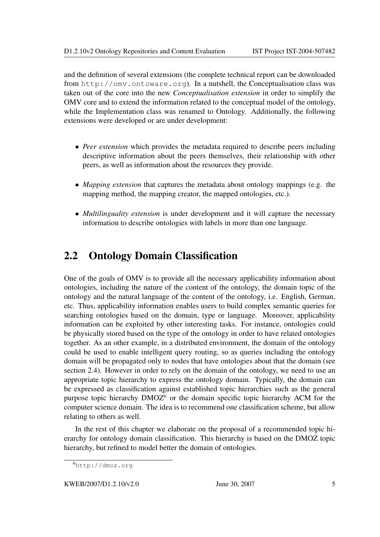and the definition of several extensions (the complete technical report can be downloaded from http://omv.ontoware.org). In a nutshell, the Conceptualisation class was taken out of the core into the new *Conceptualisation extension* in order to simplify the OMV core and to extend the information related to the conceptual model of the ontology, while the Implementation class was renamed to Ontology. Additionally, the following extensions were developed or are under development:

- *Peer extension* which provides the metadata required to describe peers including descriptive information about the peers themselves, their relationship with other peers, as well as information about the resources they provide.
- *Mapping extension* that captures the metadata about ontology mappings (e.g. the mapping method, the mapping creator, the mapped ontologies, etc.).
- *Multilinguality extension* is under development and it will capture the necessary information to describe ontologies with labels in more than one language.

# 2.2 Ontology Domain Classification

One of the goals of OMV is to provide all the necessary applicability information about ontologies, including the nature of the content of the ontology, the domain topic of the ontology and the natural language of the content of the ontology, i.e. English, German, etc. Thus, applicability information enables users to build complex semantic queries for searching ontologies based on the domain, type or language. Moreover, applicability information can be exploited by other interesting tasks. For instance, ontologies could be physically stored based on the type of the ontology in order to have related ontologies together. As an other example, in a distributed environment, the domain of the ontology could be used to enable intelligent query routing, so as queries including the ontology domain will be propagated only to nodes that have ontologies about that the domain (see section 2.4). However in order to rely on the domain of the ontology, we need to use an appropriate topic hierarchy to express the ontology domain. Typically, the domain can be expressed as classification against established topic hierarchies such as the general purpose topic hierarchy DMOZ<sup>6</sup> or the domain specific topic hierarchy ACM for the computer science domain. The idea is to recommend one classification scheme, but allow relating to others as well.

In the rest of this chapter we elaborate on the proposal of a recommended topic hierarchy for ontology domain classification. This hierarchy is based on the DMOZ topic hierarchy, but refined to model better the domain of ontologies.

<sup>6</sup>http://dmoz.org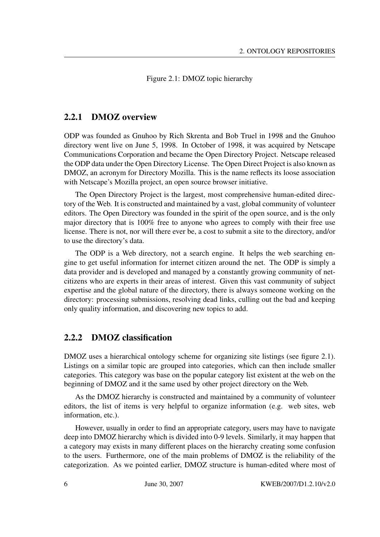Figure 2.1: DMOZ topic hierarchy

### 2.2.1 DMOZ overview

ODP was founded as Gnuhoo by Rich Skrenta and Bob Truel in 1998 and the Gnuhoo directory went live on June 5, 1998. In October of 1998, it was acquired by Netscape Communications Corporation and became the Open Directory Project. Netscape released the ODP data under the Open Directory License. The Open Direct Project is also known as DMOZ, an acronym for Directory Mozilla. This is the name reflects its loose association with Netscape's Mozilla project, an open source browser initiative.

The Open Directory Project is the largest, most comprehensive human-edited directory of the Web. It is constructed and maintained by a vast, global community of volunteer editors. The Open Directory was founded in the spirit of the open source, and is the only major directory that is 100% free to anyone who agrees to comply with their free use license. There is not, nor will there ever be, a cost to submit a site to the directory, and/or to use the directory's data.

The ODP is a Web directory, not a search engine. It helps the web searching engine to get useful information for internet citizen around the net. The ODP is simply a data provider and is developed and managed by a constantly growing community of netcitizens who are experts in their areas of interest. Given this vast community of subject expertise and the global nature of the directory, there is always someone working on the directory: processing submissions, resolving dead links, culling out the bad and keeping only quality information, and discovering new topics to add.

### 2.2.2 DMOZ classification

DMOZ uses a hierarchical ontology scheme for organizing site listings (see figure 2.1). Listings on a similar topic are grouped into categories, which can then include smaller categories. This category was base on the popular category list existent at the web on the beginning of DMOZ and it the same used by other project directory on the Web.

As the DMOZ hierarchy is constructed and maintained by a community of volunteer editors, the list of items is very helpful to organize information (e.g. web sites, web information, etc.).

However, usually in order to find an appropriate category, users may have to navigate deep into DMOZ hierarchy which is divided into 0-9 levels. Similarly, it may happen that a category may exists in many different places on the hierarchy creating some confusion to the users. Furthermore, one of the main problems of DMOZ is the reliability of the categorization. As we pointed earlier, DMOZ structure is human-edited where most of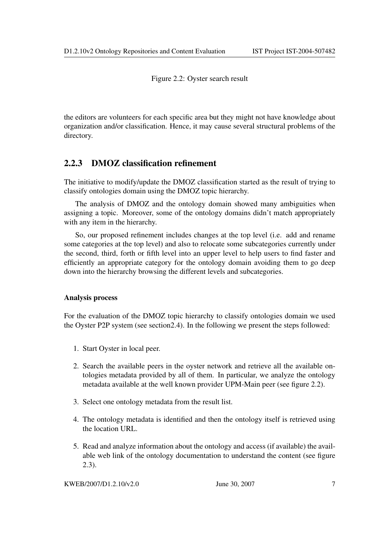Figure 2.2: Oyster search result

the editors are volunteers for each specific area but they might not have knowledge about organization and/or classification. Hence, it may cause several structural problems of the directory.

### 2.2.3 DMOZ classification refinement

The initiative to modify/update the DMOZ classification started as the result of trying to classify ontologies domain using the DMOZ topic hierarchy.

The analysis of DMOZ and the ontology domain showed many ambiguities when assigning a topic. Moreover, some of the ontology domains didn't match appropriately with any item in the hierarchy.

So, our proposed refinement includes changes at the top level (i.e. add and rename some categories at the top level) and also to relocate some subcategories currently under the second, third, forth or fifth level into an upper level to help users to find faster and efficiently an appropriate category for the ontology domain avoiding them to go deep down into the hierarchy browsing the different levels and subcategories.

#### Analysis process

For the evaluation of the DMOZ topic hierarchy to classify ontologies domain we used the Oyster P2P system (see section2.4). In the following we present the steps followed:

- 1. Start Oyster in local peer.
- 2. Search the available peers in the oyster network and retrieve all the available ontologies metadata provided by all of them. In particular, we analyze the ontology metadata available at the well known provider UPM-Main peer (see figure 2.2).
- 3. Select one ontology metadata from the result list.
- 4. The ontology metadata is identified and then the ontology itself is retrieved using the location URL.
- 5. Read and analyze information about the ontology and access (if available) the available web link of the ontology documentation to understand the content (see figure 2.3).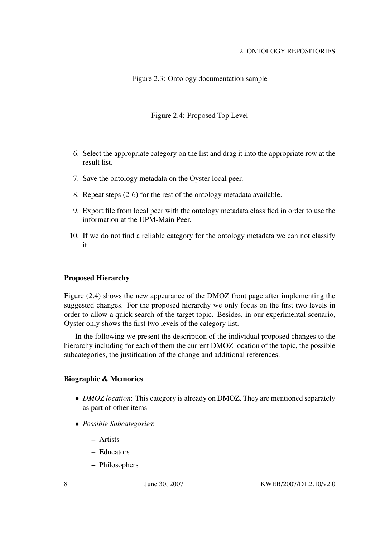Figure 2.3: Ontology documentation sample

Figure 2.4: Proposed Top Level

- 6. Select the appropriate category on the list and drag it into the appropriate row at the result list.
- 7. Save the ontology metadata on the Oyster local peer.
- 8. Repeat steps (2-6) for the rest of the ontology metadata available.
- 9. Export file from local peer with the ontology metadata classified in order to use the information at the UPM-Main Peer.
- 10. If we do not find a reliable category for the ontology metadata we can not classify it.

#### Proposed Hierarchy

Figure (2.4) shows the new appearance of the DMOZ front page after implementing the suggested changes. For the proposed hierarchy we only focus on the first two levels in order to allow a quick search of the target topic. Besides, in our experimental scenario, Oyster only shows the first two levels of the category list.

In the following we present the description of the individual proposed changes to the hierarchy including for each of them the current DMOZ location of the topic, the possible subcategories, the justification of the change and additional references.

#### Biographic & Memories

- *DMOZ location*: This category is already on DMOZ. They are mentioned separately as part of other items
- *Possible Subcategories*:
	- Artists
	- Educators
	- Philosophers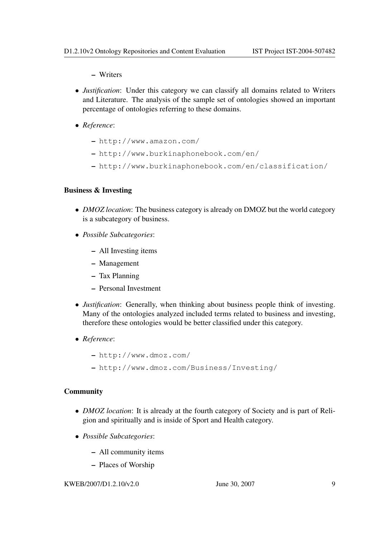– Writers

- *Justification*: Under this category we can classify all domains related to Writers and Literature. The analysis of the sample set of ontologies showed an important percentage of ontologies referring to these domains.
- *Reference*:
	- http://www.amazon.com/
	- http://www.burkinaphonebook.com/en/
	- http://www.burkinaphonebook.com/en/classification/

#### Business & Investing

- *DMOZ location*: The business category is already on DMOZ but the world category is a subcategory of business.
- *Possible Subcategories*:
	- All Investing items
	- Management
	- Tax Planning
	- Personal Investment
- *Justification*: Generally, when thinking about business people think of investing. Many of the ontologies analyzed included terms related to business and investing, therefore these ontologies would be better classified under this category.
- *Reference*:
	- http://www.dmoz.com/
	- http://www.dmoz.com/Business/Investing/

#### **Community**

- *DMOZ location*: It is already at the fourth category of Society and is part of Religion and spiritually and is inside of Sport and Health category.
- *Possible Subcategories*:
	- All community items
	- Places of Worship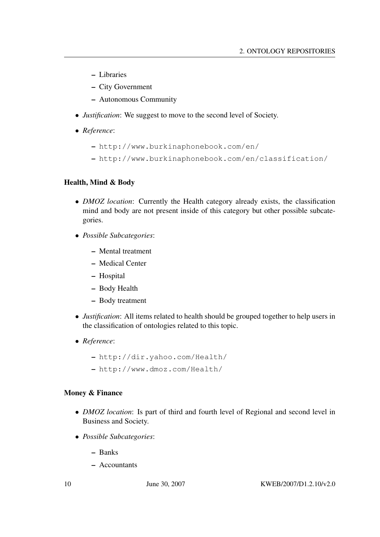- Libraries
- City Government
- Autonomous Community
- *Justification*: We suggest to move to the second level of Society.
- *Reference*:
	- http://www.burkinaphonebook.com/en/
	- http://www.burkinaphonebook.com/en/classification/

#### Health, Mind & Body

- *DMOZ location*: Currently the Health category already exists, the classification mind and body are not present inside of this category but other possible subcategories.
- *Possible Subcategories*:
	- Mental treatment
	- Medical Center
	- Hospital
	- Body Health
	- Body treatment
- *Justification*: All items related to health should be grouped together to help users in the classification of ontologies related to this topic.
- *Reference*:
	- http://dir.yahoo.com/Health/
	- http://www.dmoz.com/Health/

#### Money & Finance

- *DMOZ location*: Is part of third and fourth level of Regional and second level in Business and Society.
- *Possible Subcategories*:
	- Banks
	- Accountants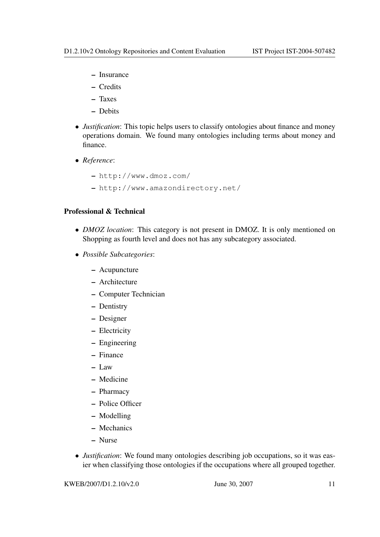- Insurance
- Credits
- Taxes
- Debits
- *Justification*: This topic helps users to classify ontologies about finance and money operations domain. We found many ontologies including terms about money and finance.
- *Reference*:
	- http://www.dmoz.com/
	- http://www.amazondirectory.net/

#### Professional & Technical

- *DMOZ location*: This category is not present in DMOZ. It is only mentioned on Shopping as fourth level and does not has any subcategory associated.
- *Possible Subcategories*:
	- Acupuncture
	- Architecture
	- Computer Technician
	- Dentistry
	- Designer
	- Electricity
	- Engineering
	- Finance
	- Law
	- Medicine
	- Pharmacy
	- Police Officer
	- Modelling
	- Mechanics
	- Nurse
- *Justification*: We found many ontologies describing job occupations, so it was easier when classifying those ontologies if the occupations where all grouped together.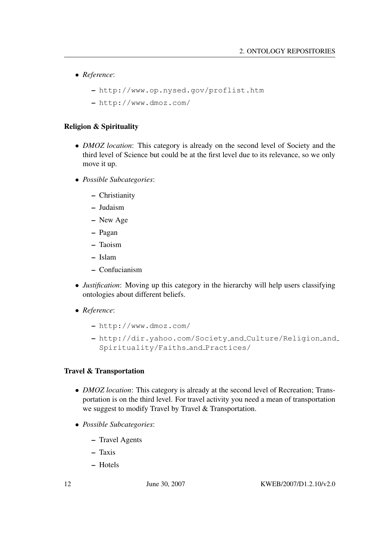- *Reference*:
	- http://www.op.nysed.gov/proflist.htm
	- http://www.dmoz.com/

#### Religion & Spirituality

- *DMOZ location*: This category is already on the second level of Society and the third level of Science but could be at the first level due to its relevance, so we only move it up.
- *Possible Subcategories*:
	- Christianity
	- Judaism
	- New Age
	- Pagan
	- Taoism
	- Islam
	- Confucianism
- *Justification*: Moving up this category in the hierarchy will help users classifying ontologies about different beliefs.
- *Reference*:
	- http://www.dmoz.com/
	- http://dir.yahoo.com/Society and Culture/Religion and Spirituality/Faiths and Practices/

#### Travel & Transportation

- *DMOZ location*: This category is already at the second level of Recreation; Transportation is on the third level. For travel activity you need a mean of transportation we suggest to modify Travel by Travel & Transportation.
- *Possible Subcategories*:
	- Travel Agents
	- Taxis
	- Hotels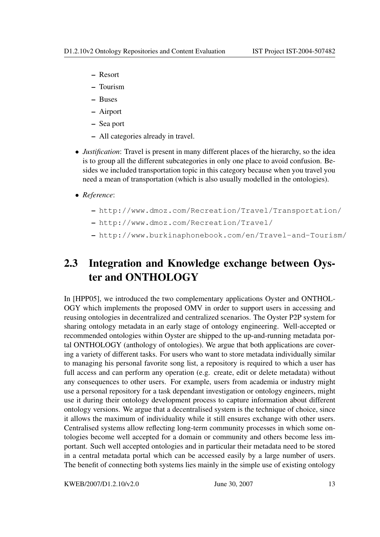- Resort
- Tourism
- Buses
- Airport
- Sea port
- All categories already in travel.
- *Justification*: Travel is present in many different places of the hierarchy, so the idea is to group all the different subcategories in only one place to avoid confusion. Besides we included transportation topic in this category because when you travel you need a mean of transportation (which is also usually modelled in the ontologies).
- *Reference*:
	- http://www.dmoz.com/Recreation/Travel/Transportation/
	- http://www.dmoz.com/Recreation/Travel/
	- http://www.burkinaphonebook.com/en/Travel-and-Tourism/

# 2.3 Integration and Knowledge exchange between Oyster and ONTHOLOGY

In [HPP05], we introduced the two complementary applications Oyster and ONTHOL-OGY which implements the proposed OMV in order to support users in accessing and reusing ontologies in decentralized and centralized scenarios. The Oyster P2P system for sharing ontology metadata in an early stage of ontology engineering. Well-accepted or recommended ontologies within Oyster are shipped to the up-and-running metadata portal ONTHOLOGY (anthology of ontologies). We argue that both applications are covering a variety of different tasks. For users who want to store metadata individually similar to managing his personal favorite song list, a repository is required to which a user has full access and can perform any operation (e.g. create, edit or delete metadata) without any consequences to other users. For example, users from academia or industry might use a personal repository for a task dependant investigation or ontology engineers, might use it during their ontology development process to capture information about different ontology versions. We argue that a decentralised system is the technique of choice, since it allows the maximum of individuality while it still ensures exchange with other users. Centralised systems allow reflecting long-term community processes in which some ontologies become well accepted for a domain or community and others become less important. Such well accepted ontologies and in particular their metadata need to be stored in a central metadata portal which can be accessed easily by a large number of users. The benefit of connecting both systems lies mainly in the simple use of existing ontology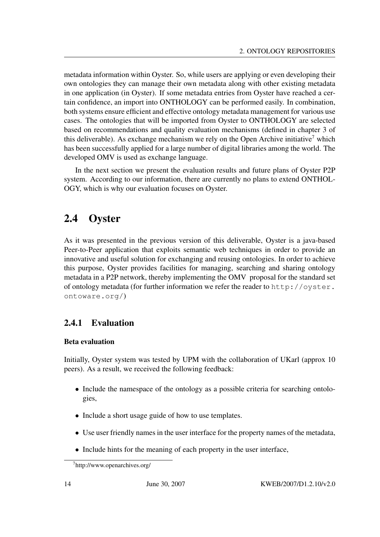metadata information within Oyster. So, while users are applying or even developing their own ontologies they can manage their own metadata along with other existing metadata in one application (in Oyster). If some metadata entries from Oyster have reached a certain confidence, an import into ONTHOLOGY can be performed easily. In combination, both systems ensure efficient and effective ontology metadata management for various use cases. The ontologies that will be imported from Oyster to ONTHOLOGY are selected based on recommendations and quality evaluation mechanisms (defined in chapter 3 of this deliverable). As exchange mechanism we rely on the Open Archive initiative<sup>7</sup> which has been successfully applied for a large number of digital libraries among the world. The developed OMV is used as exchange language.

In the next section we present the evaluation results and future plans of Oyster P2P system. According to our information, there are currently no plans to extend ONTHOL-OGY, which is why our evaluation focuses on Oyster.

# 2.4 Oyster

As it was presented in the previous version of this deliverable, Oyster is a java-based Peer-to-Peer application that exploits semantic web techniques in order to provide an innovative and useful solution for exchanging and reusing ontologies. In order to achieve this purpose, Oyster provides facilities for managing, searching and sharing ontology metadata in a P2P network, thereby implementing the OMV proposal for the standard set of ontology metadata (for further information we refer the reader to http://oyster. ontoware.org/)

# 2.4.1 Evaluation

### Beta evaluation

Initially, Oyster system was tested by UPM with the collaboration of UKarl (approx 10 peers). As a result, we received the following feedback:

- Include the namespace of the ontology as a possible criteria for searching ontologies,
- Include a short usage guide of how to use templates.
- Use user friendly names in the user interface for the property names of the metadata,
- Include hints for the meaning of each property in the user interface,

<sup>7</sup>http://www.openarchives.org/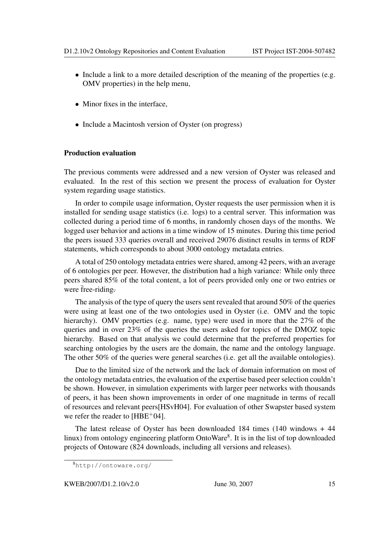- Include a link to a more detailed description of the meaning of the properties (e.g. OMV properties) in the help menu,
- Minor fixes in the interface.
- Include a Macintosh version of Oyster (on progress)

#### Production evaluation

The previous comments were addressed and a new version of Oyster was released and evaluated. In the rest of this section we present the process of evaluation for Oyster system regarding usage statistics.

In order to compile usage information, Oyster requests the user permission when it is installed for sending usage statistics (i.e. logs) to a central server. This information was collected during a period time of 6 months, in randomly chosen days of the months. We logged user behavior and actions in a time window of 15 minutes. During this time period the peers issued 333 queries overall and received 29076 distinct results in terms of RDF statements, which corresponds to about 3000 ontology metadata entries.

A total of 250 ontology metadata entries were shared, among 42 peers, with an average of 6 ontologies per peer. However, the distribution had a high variance: While only three peers shared 85% of the total content, a lot of peers provided only one or two entries or were free-riding.

The analysis of the type of query the users sent revealed that around 50% of the queries were using at least one of the two ontologies used in Oyster (i.e. OMV and the topic hierarchy). OMV properties (e.g. name, type) were used in more that the 27% of the queries and in over 23% of the queries the users asked for topics of the DMOZ topic hierarchy. Based on that analysis we could determine that the preferred properties for searching ontologies by the users are the domain, the name and the ontology language. The other 50% of the queries were general searches (i.e. get all the available ontologies).

Due to the limited size of the network and the lack of domain information on most of the ontology metadata entries, the evaluation of the expertise based peer selection couldn't be shown. However, in simulation experiments with larger peer networks with thousands of peers, it has been shown improvements in order of one magnitude in terms of recall of resources and relevant peers[HSvH04]. For evaluation of other Swapster based system we refer the reader to  $[HBE^+04]$ .

The latest release of Oyster has been downloaded 184 times (140 windows + 44 linux) from ontology engineering platform OntoWare<sup>8</sup>. It is in the list of top downloaded projects of Ontoware (824 downloads, including all versions and releases).

<sup>8</sup>http://ontoware.org/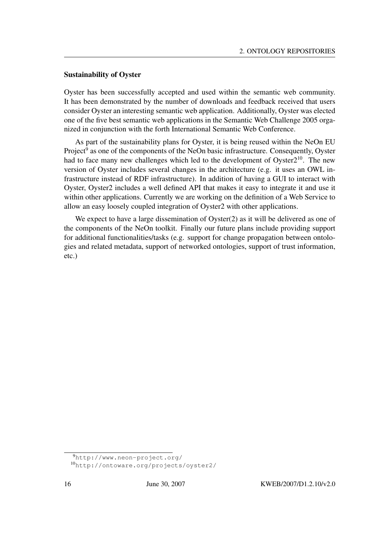#### Sustainability of Oyster

Oyster has been successfully accepted and used within the semantic web community. It has been demonstrated by the number of downloads and feedback received that users consider Oyster an interesting semantic web application. Additionally, Oyster was elected one of the five best semantic web applications in the Semantic Web Challenge 2005 organized in conjunction with the forth International Semantic Web Conference.

As part of the sustainability plans for Oyster, it is being reused within the NeOn EU Project<sup>9</sup> as one of the components of the NeOn basic infrastructure. Consequently, Oyster had to face many new challenges which led to the development of Oyster $2^{10}$ . The new version of Oyster includes several changes in the architecture (e.g. it uses an OWL infrastructure instead of RDF infrastructure). In addition of having a GUI to interact with Oyster, Oyster2 includes a well defined API that makes it easy to integrate it and use it within other applications. Currently we are working on the definition of a Web Service to allow an easy loosely coupled integration of Oyster2 with other applications.

We expect to have a large dissemination of Oyster(2) as it will be delivered as one of the components of the NeOn toolkit. Finally our future plans include providing support for additional functionalities/tasks (e.g. support for change propagation between ontologies and related metadata, support of networked ontologies, support of trust information, etc.)

<sup>9</sup>http://www.neon-project.org/

<sup>10</sup>http://ontoware.org/projects/oyster2/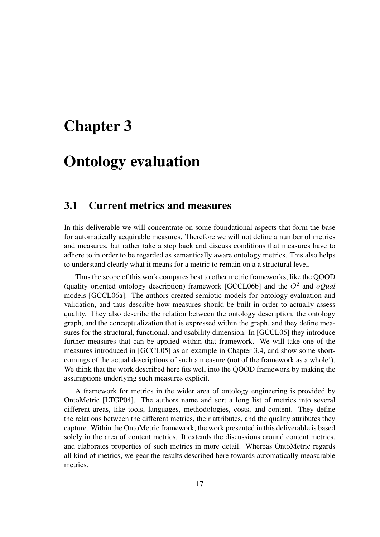# Chapter 3

# Ontology evaluation

### 3.1 Current metrics and measures

In this deliverable we will concentrate on some foundational aspects that form the base for automatically acquirable measures. Therefore we will not define a number of metrics and measures, but rather take a step back and discuss conditions that measures have to adhere to in order to be regarded as semantically aware ontology metrics. This also helps to understand clearly what it means for a metric to remain on a a structural level.

Thus the scope of this work compares best to other metric frameworks, like the QOOD (quality oriented ontology description) framework [GCCL06b] and the  $O<sup>2</sup>$  and  $oQuad$ models [GCCL06a]. The authors created semiotic models for ontology evaluation and validation, and thus describe how measures should be built in order to actually assess quality. They also describe the relation between the ontology description, the ontology graph, and the conceptualization that is expressed within the graph, and they define measures for the structural, functional, and usability dimension. In [GCCL05] they introduce further measures that can be applied within that framework. We will take one of the measures introduced in [GCCL05] as an example in Chapter 3.4, and show some shortcomings of the actual descriptions of such a measure (not of the framework as a whole!). We think that the work described here fits well into the QOOD framework by making the assumptions underlying such measures explicit.

A framework for metrics in the wider area of ontology engineering is provided by OntoMetric [LTGP04]. The authors name and sort a long list of metrics into several different areas, like tools, languages, methodologies, costs, and content. They define the relations between the different metrics, their attributes, and the quality attributes they capture. Within the OntoMetric framework, the work presented in this deliverable is based solely in the area of content metrics. It extends the discussions around content metrics, and elaborates properties of such metrics in more detail. Whereas OntoMetric regards all kind of metrics, we gear the results described here towards automatically measurable metrics.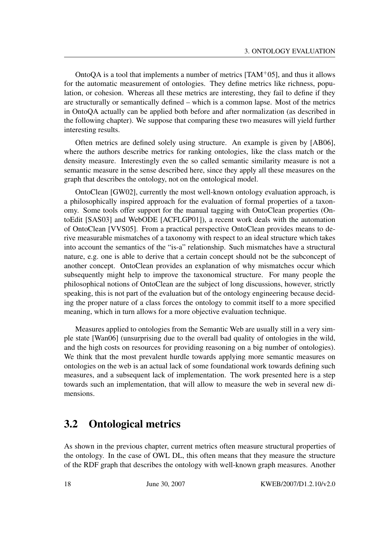OntoOA is a tool that implements a number of metrics  $[TAM<sup>+</sup>05]$ , and thus it allows for the automatic measurement of ontologies. They define metrics like richness, population, or cohesion. Whereas all these metrics are interesting, they fail to define if they are structurally or semantically defined – which is a common lapse. Most of the metrics in OntoQA actually can be applied both before and after normalization (as described in the following chapter). We suppose that comparing these two measures will yield further interesting results.

Often metrics are defined solely using structure. An example is given by [AB06], where the authors describe metrics for ranking ontologies, like the class match or the density measure. Interestingly even the so called semantic similarity measure is not a semantic measure in the sense described here, since they apply all these measures on the graph that describes the ontology, not on the ontological model.

OntoClean [GW02], currently the most well-known ontology evaluation approach, is a philosophically inspired approach for the evaluation of formal properties of a taxonomy. Some tools offer support for the manual tagging with OntoClean properties (OntoEdit [SAS03] and WebODE [ACFLGP01]), a recent work deals with the automation of OntoClean [VVS05]. From a practical perspective OntoClean provides means to derive measurable mismatches of a taxonomy with respect to an ideal structure which takes into account the semantics of the "is-a" relationship. Such mismatches have a structural nature, e.g. one is able to derive that a certain concept should not be the subconcept of another concept. OntoClean provides an explanation of why mismatches occur which subsequently might help to improve the taxonomical structure. For many people the philosophical notions of OntoClean are the subject of long discussions, however, strictly speaking, this is not part of the evaluation but of the ontology engineering because deciding the proper nature of a class forces the ontology to commit itself to a more specified meaning, which in turn allows for a more objective evaluation technique.

Measures applied to ontologies from the Semantic Web are usually still in a very simple state [Wan06] (unsurprising due to the overall bad quality of ontologies in the wild, and the high costs on resources for providing reasoning on a big number of ontologies). We think that the most prevalent hurdle towards applying more semantic measures on ontologies on the web is an actual lack of some foundational work towards defining such measures, and a subsequent lack of implementation. The work presented here is a step towards such an implementation, that will allow to measure the web in several new dimensions.

# 3.2 Ontological metrics

As shown in the previous chapter, current metrics often measure structural properties of the ontology. In the case of OWL DL, this often means that they measure the structure of the RDF graph that describes the ontology with well-known graph measures. Another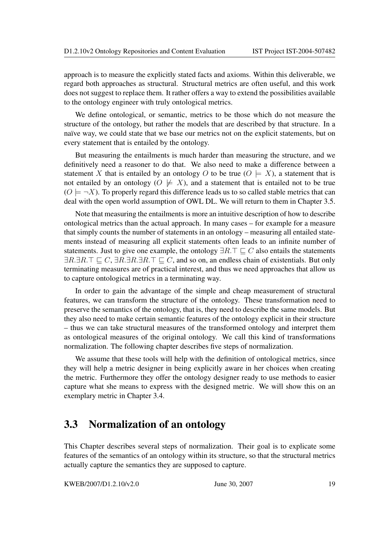approach is to measure the explicitly stated facts and axioms. Within this deliverable, we regard both approaches as structural. Structural metrics are often useful, and this work does not suggest to replace them. It rather offers a way to extend the possibilities available to the ontology engineer with truly ontological metrics.

We define ontological, or semantic, metrics to be those which do not measure the structure of the ontology, but rather the models that are described by that structure. In a naïve way, we could state that we base our metrics not on the explicit statements, but on every statement that is entailed by the ontology.

But measuring the entailments is much harder than measuring the structure, and we definitively need a reasoner to do that. We also need to make a difference between a statement X that is entailed by an ontology O to be true  $(O \models X)$ , a statement that is not entailed by an ontology ( $O \not\models X$ ), and a statement that is entailed not to be true  $(O \models \neg X)$ . To properly regard this difference leads us to so called stable metrics that can deal with the open world assumption of OWL DL. We will return to them in Chapter 3.5.

Note that measuring the entailments is more an intuitive description of how to describe ontological metrics than the actual approach. In many cases – for example for a measure that simply counts the number of statements in an ontology – measuring all entailed statements instead of measuring all explicit statements often leads to an infinite number of statements. Just to give one example, the ontology  $\exists R.\top \sqsubseteq C$  also entails the statements  $\exists R.\exists R.\top \sqsubseteq C, \exists R.\exists R.\top \sqsubseteq C,$  and so on, an endless chain of existentials. But only terminating measures are of practical interest, and thus we need approaches that allow us to capture ontological metrics in a terminating way.

In order to gain the advantage of the simple and cheap measurement of structural features, we can transform the structure of the ontology. These transformation need to preserve the semantics of the ontology, that is, they need to describe the same models. But they also need to make certain semantic features of the ontology explicit in their structure – thus we can take structural measures of the transformed ontology and interpret them as ontological measures of the original ontology. We call this kind of transformations normalization. The following chapter describes five steps of normalization.

We assume that these tools will help with the definition of ontological metrics, since they will help a metric designer in being explicitly aware in her choices when creating the metric. Furthermore they offer the ontology designer ready to use methods to easier capture what she means to express with the designed metric. We will show this on an exemplary metric in Chapter 3.4.

# 3.3 Normalization of an ontology

This Chapter describes several steps of normalization. Their goal is to explicate some features of the semantics of an ontology within its structure, so that the structural metrics actually capture the semantics they are supposed to capture.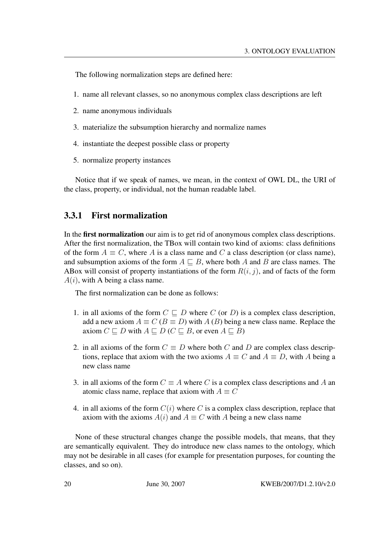The following normalization steps are defined here:

- 1. name all relevant classes, so no anonymous complex class descriptions are left
- 2. name anonymous individuals
- 3. materialize the subsumption hierarchy and normalize names
- 4. instantiate the deepest possible class or property
- 5. normalize property instances

Notice that if we speak of names, we mean, in the context of OWL DL, the URI of the class, property, or individual, not the human readable label.

### 3.3.1 First normalization

In the first normalization our aim is to get rid of anonymous complex class descriptions. After the first normalization, the TBox will contain two kind of axioms: class definitions of the form  $A \equiv C$ , where A is a class name and C a class description (or class name), and subsumption axioms of the form  $A \sqsubseteq B$ , where both A and B are class names. The ABox will consist of property instantiations of the form  $R(i, j)$ , and of facts of the form  $A(i)$ , with A being a class name.

The first normalization can be done as follows:

- 1. in all axioms of the form  $C \sqsubset D$  where C (or D) is a complex class description, add a new axiom  $A \equiv C (B \equiv D)$  with A (B) being a new class name. Replace the axiom  $C \sqsubseteq D$  with  $A \sqsubseteq D$  ( $C \sqsubseteq B$ , or even  $A \sqsubseteq B$ )
- 2. in all axioms of the form  $C \equiv D$  where both C and D are complex class descriptions, replace that axiom with the two axioms  $A \equiv C$  and  $A \equiv D$ , with A being a new class name
- 3. in all axioms of the form  $C \equiv A$  where C is a complex class descriptions and A an atomic class name, replace that axiom with  $A \equiv C$
- 4. in all axioms of the form  $C(i)$  where C is a complex class description, replace that axiom with the axioms  $A(i)$  and  $A \equiv C$  with A being a new class name

None of these structural changes change the possible models, that means, that they are semantically equivalent. They do introduce new class names to the ontology, which may not be desirable in all cases (for example for presentation purposes, for counting the classes, and so on).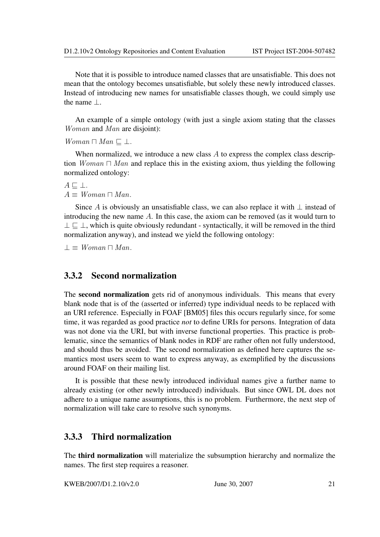Note that it is possible to introduce named classes that are unsatisfiable. This does not mean that the ontology becomes unsatisfiable, but solely these newly introduced classes. Instead of introducing new names for unsatisfiable classes though, we could simply use the name ⊥.

An example of a simple ontology (with just a single axiom stating that the classes Woman and Man are disjoint):

 $Woman \sqcap Man \sqsubset \bot.$ 

When normalized, we introduce a new class  $A$  to express the complex class description  $Woman \sqcap Man$  and replace this in the existing axiom, thus yielding the following normalized ontology:

 $A \sqsubset \perp$ .  $A \equiv Woman \sqcap Man.$ 

Since A is obviously an unsatisfiable class, we can also replace it with  $\perp$  instead of introducing the new name  $A$ . In this case, the axiom can be removed (as it would turn to  $\perp \square \perp$ , which is quite obviously redundant - syntactically, it will be removed in the third normalization anyway), and instead we yield the following ontology:

 $\perp \equiv Woman \sqcap Man.$ 

#### 3.3.2 Second normalization

The second normalization gets rid of anonymous individuals. This means that every blank node that is of the (asserted or inferred) type individual needs to be replaced with an URI reference. Especially in FOAF [BM05] files this occurs regularly since, for some time, it was regarded as good practice *not* to define URIs for persons. Integration of data was not done via the URI, but with inverse functional properties. This practice is problematic, since the semantics of blank nodes in RDF are rather often not fully understood, and should thus be avoided. The second normalization as defined here captures the semantics most users seem to want to express anyway, as exemplified by the discussions around FOAF on their mailing list.

It is possible that these newly introduced individual names give a further name to already existing (or other newly introduced) individuals. But since OWL DL does not adhere to a unique name assumptions, this is no problem. Furthermore, the next step of normalization will take care to resolve such synonyms.

### 3.3.3 Third normalization

The third normalization will materialize the subsumption hierarchy and normalize the names. The first step requires a reasoner.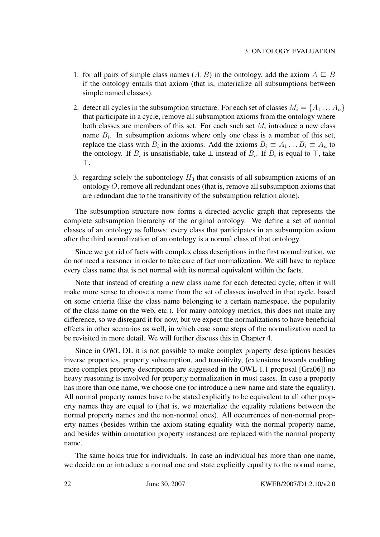- 1. for all pairs of simple class names  $(A, B)$  in the ontology, add the axiom  $A \sqsubset B$ if the ontology entails that axiom (that is, materialize all subsumptions between simple named classes).
- 2. detect all cycles in the subsumption structure. For each set of classes  $M_i = \{A_1 \dots A_n\}$ that participate in a cycle, remove all subsumption axioms from the ontology where both classes are members of this set. For each such set  $M_i$  introduce a new class name  $B_i$ . In subsumption axioms where only one class is a member of this set, replace the class with  $B_i$  in the axioms. Add the axioms  $B_i \equiv A_1 \dots B_i \equiv A_n$  to the ontology. If  $B_i$  is unsatisfiable, take  $\perp$  instead of  $B_i$ . If  $B_i$  is equal to  $\top$ , take  $\top$ .
- 3. regarding solely the subontology  $H_3$  that consists of all subsumption axioms of an ontology O, remove all redundant ones (that is, remove all subsumption axioms that are redundant due to the transitivity of the subsumption relation alone).

The subsumption structure now forms a directed acyclic graph that represents the complete subsumption hierarchy of the original ontology. We define a set of normal classes of an ontology as follows: every class that participates in an subsumption axiom after the third normalization of an ontology is a normal class of that ontology.

Since we got rid of facts with complex class descriptions in the first normalization, we do not need a reasoner in order to take care of fact normalization. We still have to replace every class name that is not normal with its normal equivalent within the facts.

Note that instead of creating a new class name for each detected cycle, often it will make more sense to choose a name from the set of classes involved in that cycle, based on some criteria (like the class name belonging to a certain namespace, the popularity of the class name on the web, etc.). For many ontology metrics, this does not make any difference, so we disregard it for now, but we expect the normalizations to have beneficial effects in other scenarios as well, in which case some steps of the normalization need to be revisited in more detail. We will further discuss this in Chapter 4.

Since in OWL DL it is not possible to make complex property descriptions besides inverse properties, property subsumption, and transitivity, (extensions towards enabling more complex property descriptions are suggested in the OWL 1.1 proposal [Gra06]) no heavy reasoning is involved for property normalization in most cases. In case a property has more than one name, we choose one (or introduce a new name and state the equality). All normal property names have to be stated explicitly to be equivalent to all other property names they are equal to (that is, we materialize the equality relations between the normal property names and the non-normal ones). All occurrences of non-normal property names (besides within the axiom stating equality with the normal property name, and besides within annotation property instances) are replaced with the normal property name.

The same holds true for individuals. In case an individual has more than one name, we decide on or introduce a normal one and state explicitly equality to the normal name,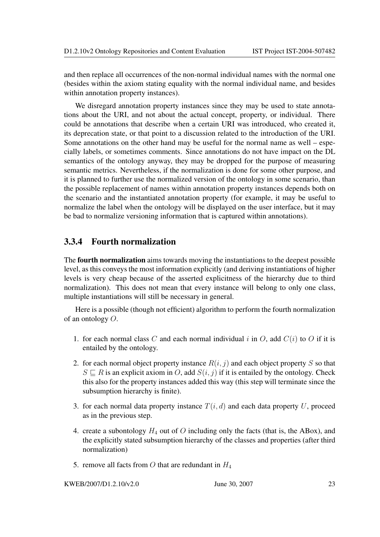and then replace all occurrences of the non-normal individual names with the normal one (besides within the axiom stating equality with the normal individual name, and besides within annotation property instances).

We disregard annotation property instances since they may be used to state annotations about the URI, and not about the actual concept, property, or individual. There could be annotations that describe when a certain URI was introduced, who created it, its deprecation state, or that point to a discussion related to the introduction of the URI. Some annotations on the other hand may be useful for the normal name as well – especially labels, or sometimes comments. Since annotations do not have impact on the DL semantics of the ontology anyway, they may be dropped for the purpose of measuring semantic metrics. Nevertheless, if the normalization is done for some other purpose, and it is planned to further use the normalized version of the ontology in some scenario, than the possible replacement of names within annotation property instances depends both on the scenario and the instantiated annotation property (for example, it may be useful to normalize the label when the ontology will be displayed on the user interface, but it may be bad to normalize versioning information that is captured within annotations).

#### 3.3.4 Fourth normalization

The fourth normalization aims towards moving the instantiations to the deepest possible level, as this conveys the most information explicitly (and deriving instantiations of higher levels is very cheap because of the asserted explicitness of the hierarchy due to third normalization). This does not mean that every instance will belong to only one class, multiple instantiations will still be necessary in general.

Here is a possible (though not efficient) algorithm to perform the fourth normalization of an ontology O.

- 1. for each normal class C and each normal individual i in O, add  $C(i)$  to O if it is entailed by the ontology.
- 2. for each normal object property instance  $R(i, j)$  and each object property S so that  $S \subseteq R$  is an explicit axiom in O, add  $S(i, j)$  if it is entailed by the ontology. Check this also for the property instances added this way (this step will terminate since the subsumption hierarchy is finite).
- 3. for each normal data property instance  $T(i, d)$  and each data property U, proceed as in the previous step.
- 4. create a subontology  $H_4$  out of O including only the facts (that is, the ABox), and the explicitly stated subsumption hierarchy of the classes and properties (after third normalization)
- 5. remove all facts from O that are redundant in  $H_4$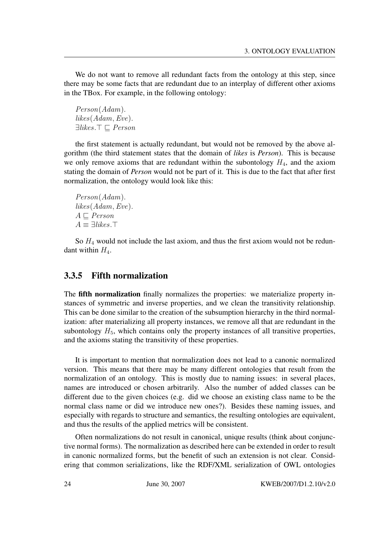We do not want to remove all redundant facts from the ontology at this step, since there may be some facts that are redundant due to an interplay of different other axioms in the TBox. For example, in the following ontology:

Person(Adam). likes(Adam, Eve).  $\exists$ *likes*. $\top \sqsubset Person$ 

the first statement is actually redundant, but would not be removed by the above algorithm (the third statement states that the domain of *likes* is *Person*). This is because we only remove axioms that are redundant within the subontology  $H_4$ , and the axiom stating the domain of *Person* would not be part of it. This is due to the fact that after first normalization, the ontology would look like this:

Person(Adam). likes(Adam, Eve).  $A \sqsubset Person$  $A \equiv \exists likes.\top$ 

So  $H_4$  would not include the last axiom, and thus the first axiom would not be redundant within  $H_4$ .

### 3.3.5 Fifth normalization

The fifth normalization finally normalizes the properties: we materialize property instances of symmetric and inverse properties, and we clean the transitivity relationship. This can be done similar to the creation of the subsumption hierarchy in the third normalization: after materializing all property instances, we remove all that are redundant in the subontology  $H_5$ , which contains only the property instances of all transitive properties, and the axioms stating the transitivity of these properties.

It is important to mention that normalization does not lead to a canonic normalized version. This means that there may be many different ontologies that result from the normalization of an ontology. This is mostly due to naming issues: in several places, names are introduced or chosen arbitrarily. Also the number of added classes can be different due to the given choices (e.g. did we choose an existing class name to be the normal class name or did we introduce new ones?). Besides these naming issues, and especially with regards to structure and semantics, the resulting ontologies are equivalent, and thus the results of the applied metrics will be consistent.

Often normalizations do not result in canonical, unique results (think about conjunctive normal forms). The normalization as described here can be extended in order to result in canonic normalized forms, but the benefit of such an extension is not clear. Considering that common serializations, like the RDF/XML serialization of OWL ontologies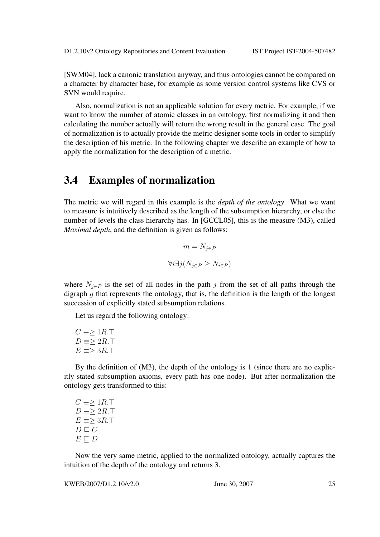[SWM04], lack a canonic translation anyway, and thus ontologies cannot be compared on a character by character base, for example as some version control systems like CVS or SVN would require.

Also, normalization is not an applicable solution for every metric. For example, if we want to know the number of atomic classes in an ontology, first normalizing it and then calculating the number actually will return the wrong result in the general case. The goal of normalization is to actually provide the metric designer some tools in order to simplify the description of his metric. In the following chapter we describe an example of how to apply the normalization for the description of a metric.

## 3.4 Examples of normalization

The metric we will regard in this example is the *depth of the ontology*. What we want to measure is intuitively described as the length of the subsumption hierarchy, or else the number of levels the class hierarchy has. In [GCCL05], this is the measure (M3), called *Maximal depth*, and the definition is given as follows:

$$
m = N_{j \in P}
$$

$$
\forall i \exists j (N_{j \in P} \ge N_{i \in P})
$$

where  $N_{i\in P}$  is the set of all nodes in the path j from the set of all paths through the digraph  $g$  that represents the ontology, that is, the definition is the length of the longest succession of explicitly stated subsumption relations.

Let us regard the following ontology:

$$
C \equiv \geq 1R.\top
$$
  

$$
D \equiv \geq 2R.\top
$$
  

$$
E \equiv \geq 3R.\top
$$

By the definition of (M3), the depth of the ontology is 1 (since there are no explicitly stated subsumption axioms, every path has one node). But after normalization the ontology gets transformed to this:

 $C \equiv > 1R$ .  $D \equiv 2R$ .  $E \equiv \geq 3R$ . T  $D \sqsubset C$  $E \sqsubset D$ 

Now the very same metric, applied to the normalized ontology, actually captures the intuition of the depth of the ontology and returns 3.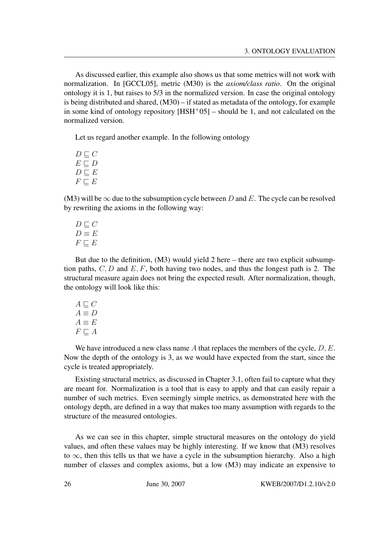As discussed earlier, this example also shows us that some metrics will not work with normalization. In [GCCL05], metric (M30) is the *axiom/class ratio*. On the original ontology it is 1, but raises to 5/3 in the normalized version. In case the original ontology is being distributed and shared, (M30) – if stated as metadata of the ontology, for example in some kind of ontology repository  $[HSH<sup>+</sup>05]$  – should be 1, and not calculated on the normalized version.

Let us regard another example. In the following ontology

 $D \sqsubset C$  $E \sqsubset D$  $D \sqsubset E$  $F \sqsubset E$ 

(M3) will be  $\infty$  due to the subsumption cycle between D and E. The cycle can be resolved by rewriting the axioms in the following way:

 $D \sqsubset C$  $D \equiv E$  $F \sqsubset E$ 

But due to the definition, (M3) would yield 2 here – there are two explicit subsumption paths,  $C, D$  and  $E, F$ , both having two nodes, and thus the longest path is 2. The structural measure again does not bring the expected result. After normalization, though, the ontology will look like this:

$$
A \sqsubseteq C
$$
  

$$
A \equiv D
$$
  

$$
A \equiv E
$$
  

$$
F \sqsubseteq A
$$

We have introduced a new class name A that replaces the members of the cycle,  $D, E$ . Now the depth of the ontology is 3, as we would have expected from the start, since the cycle is treated appropriately.

Existing structural metrics, as discussed in Chapter 3.1, often fail to capture what they are meant for. Normalization is a tool that is easy to apply and that can easily repair a number of such metrics. Even seemingly simple metrics, as demonstrated here with the ontology depth, are defined in a way that makes too many assumption with regards to the structure of the measured ontologies.

As we can see in this chapter, simple structural measures on the ontology do yield values, and often these values may be highly interesting. If we know that (M3) resolves to  $\infty$ , then this tells us that we have a cycle in the subsumption hierarchy. Also a high number of classes and complex axioms, but a low (M3) may indicate an expensive to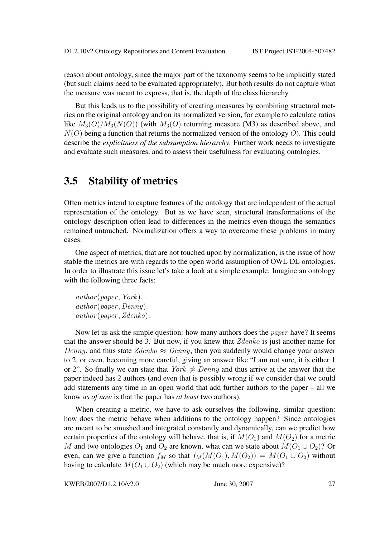reason about ontology, since the major part of the taxonomy seems to be implicitly stated (but such claims need to be evaluated appropriately). But both results do not capture what the measure was meant to express, that is, the depth of the class hierarchy.

But this leads us to the possibility of creating measures by combining structural metrics on the original ontology and on its normalized version, for example to calculate ratios like  $M_3(O)/M_3(N(O))$  (with  $M_3(O)$  returning measure (M3) as described above, and  $N(O)$  being a function that returns the normalized version of the ontology O). This could describe the *explicitness of the subsumption hierarchy*. Further work needs to investigate and evaluate such measures, and to assess their usefulness for evaluating ontologies.

## 3.5 Stability of metrics

Often metrics intend to capture features of the ontology that are independent of the actual representation of the ontology. But as we have seen, structural transformations of the ontology description often lead to differences in the metrics even though the semantics remained untouched. Normalization offers a way to overcome these problems in many cases.

One aspect of metrics, that are not touched upon by normalization, is the issue of how stable the metrics are with regards to the open world assumption of OWL DL ontologies. In order to illustrate this issue let's take a look at a simple example. Imagine an ontology with the following three facts:

 $author(paper, York).$ author (paper , Denny). author (paper , Zdenko).

Now let us ask the simple question: how many authors does the paper have? It seems that the answer should be 3. But now, if you knew that Zdenko is just another name for Denny, and thus state  $Zdenko \approx Denny$ , then you suddenly would change your answer to 2, or even, becoming more careful, giving an answer like "I am not sure, it is either 1 or 2". So finally we can state that  $York \approx Denny$  and thus arrive at the answer that the paper indeed has 2 authors (and even that is possibly wrong if we consider that we could add statements any time in an open world that add further authors to the paper – all we know *as of now* is that the paper has *at least* two authors).

When creating a metric, we have to ask ourselves the following, similar question: how does the metric behave when additions to the ontology happen? Since ontologies are meant to be smushed and integrated constantly and dynamically, can we predict how certain properties of the ontology will behave, that is, if  $M(O_1)$  and  $M(O_2)$  for a metric M and two ontologies  $O_1$  and  $O_2$  are known, what can we state about  $M(O_1 \cup O_2)$ ? Or even, can we give a function  $f_M$  so that  $f_M(M(O_1), M(O_2)) = M(O_1 \cup O_2)$  without having to calculate  $M(O_1 \cup O_2)$  (which may be much more expensive)?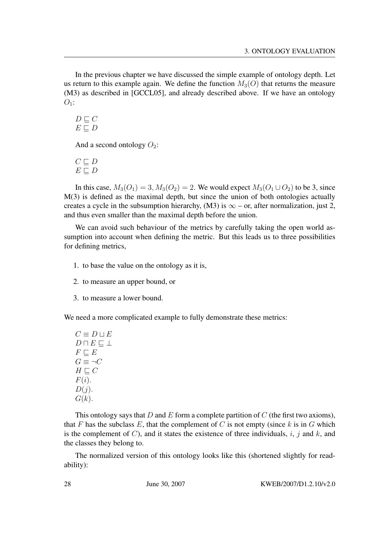In the previous chapter we have discussed the simple example of ontology depth. Let us return to this example again. We define the function  $M_3(O)$  that returns the measure (M3) as described in [GCCL05], and already described above. If we have an ontology  $O_1$ :

 $D \sqsubset C$  $E \sqsubset D$ 

And a second ontology  $O_2$ :

 $C \sqsubseteq D$  $E \sqsubset D$ 

In this case,  $M_3(O_1) = 3, M_3(O_2) = 2$ . We would expect  $M_3(O_1 \cup O_2)$  to be 3, since M(3) is defined as the maximal depth, but since the union of both ontologies actually creates a cycle in the subsumption hierarchy, (M3) is  $\infty$  – or, after normalization, just 2, and thus even smaller than the maximal depth before the union.

We can avoid such behaviour of the metrics by carefully taking the open world assumption into account when defining the metric. But this leads us to three possibilities for defining metrics,

- 1. to base the value on the ontology as it is,
- 2. to measure an upper bound, or
- 3. to measure a lower bound.

We need a more complicated example to fully demonstrate these metrics:

 $C \equiv D \sqcup E$  $D \sqcap E \sqsubset \bot$  $F \sqsubset E$  $G \equiv \neg C$  $H \sqsubset C$  $F(i)$ .  $D(i)$ .  $G(k).$ 

This ontology says that  $D$  and  $E$  form a complete partition of  $C$  (the first two axioms), that F has the subclass E, that the complement of C is not empty (since k is in G which is the complement of  $C$ ), and it states the existence of three individuals, i, j and k, and the classes they belong to.

The normalized version of this ontology looks like this (shortened slightly for readability):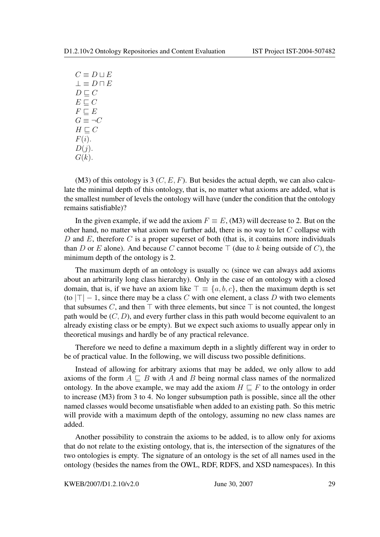$C \equiv D \sqcup E$  $\bot \equiv D \sqcap E$  $D\sqsubset C$  $E\sqsubset C$  $F \sqsubset E$  $G \equiv \neg C$  $H \sqsubset C$  $F(i)$ .  $D(i)$ .  $G(k).$ 

 $(M3)$  of this ontology is 3 (C, E, F). But besides the actual depth, we can also calculate the minimal depth of this ontology, that is, no matter what axioms are added, what is the smallest number of levels the ontology will have (under the condition that the ontology remains satisfiable)?

In the given example, if we add the axiom  $F \equiv E$ , (M3) will decrease to 2. But on the other hand, no matter what axiom we further add, there is no way to let C collapse with D and E, therefore C is a proper superset of both (that is, it contains more individuals than D or E alone). And because C cannot become  $\top$  (due to k being outside of C), the minimum depth of the ontology is 2.

The maximum depth of an ontology is usually  $\infty$  (since we can always add axioms about an arbitrarily long class hierarchy). Only in the case of an ontology with a closed domain, that is, if we have an axiom like  $\top \equiv \{a, b, c\}$ , then the maximum depth is set (to  $|T| - 1$ , since there may be a class C with one element, a class D with two elements that subsumes C, and then  $\top$  with three elements, but since  $\top$  is not counted, the longest path would be  $(C, D)$ , and every further class in this path would become equivalent to an already existing class or be empty). But we expect such axioms to usually appear only in theoretical musings and hardly be of any practical relevance.

Therefore we need to define a maximum depth in a slightly different way in order to be of practical value. In the following, we will discuss two possible definitions.

Instead of allowing for arbitrary axioms that may be added, we only allow to add axioms of the form  $A \sqsubset B$  with A and B being normal class names of the normalized ontology. In the above example, we may add the axiom  $H \nightharpoonup F$  to the ontology in order to increase (M3) from 3 to 4. No longer subsumption path is possible, since all the other named classes would become unsatisfiable when added to an existing path. So this metric will provide with a maximum depth of the ontology, assuming no new class names are added.

Another possibility to constrain the axioms to be added, is to allow only for axioms that do not relate to the existing ontology, that is, the intersection of the signatures of the two ontologies is empty. The signature of an ontology is the set of all names used in the ontology (besides the names from the OWL, RDF, RDFS, and XSD namespaces). In this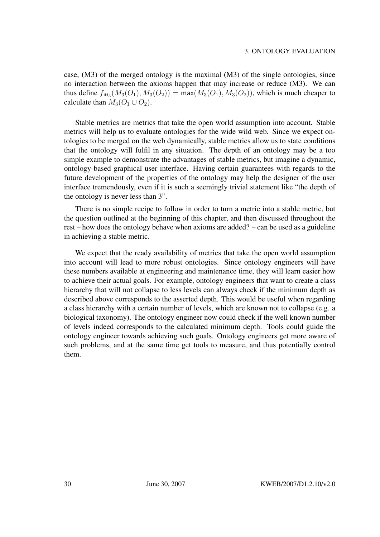case, (M3) of the merged ontology is the maximal (M3) of the single ontologies, since no interaction between the axioms happen that may increase or reduce (M3). We can thus define  $f_{M_3}(M_3(O_1), M_3(O_2)) = \max(M_3(O_1), M_3(O_2))$ , which is much cheaper to calculate than  $M_3(O_1 \cup O_2)$ .

Stable metrics are metrics that take the open world assumption into account. Stable metrics will help us to evaluate ontologies for the wide wild web. Since we expect ontologies to be merged on the web dynamically, stable metrics allow us to state conditions that the ontology will fulfil in any situation. The depth of an ontology may be a too simple example to demonstrate the advantages of stable metrics, but imagine a dynamic, ontology-based graphical user interface. Having certain guarantees with regards to the future development of the properties of the ontology may help the designer of the user interface tremendously, even if it is such a seemingly trivial statement like "the depth of the ontology is never less than 3".

There is no simple recipe to follow in order to turn a metric into a stable metric, but the question outlined at the beginning of this chapter, and then discussed throughout the rest – how does the ontology behave when axioms are added? – can be used as a guideline in achieving a stable metric.

We expect that the ready availability of metrics that take the open world assumption into account will lead to more robust ontologies. Since ontology engineers will have these numbers available at engineering and maintenance time, they will learn easier how to achieve their actual goals. For example, ontology engineers that want to create a class hierarchy that will not collapse to less levels can always check if the minimum depth as described above corresponds to the asserted depth. This would be useful when regarding a class hierarchy with a certain number of levels, which are known not to collapse (e.g. a biological taxonomy). The ontology engineer now could check if the well known number of levels indeed corresponds to the calculated minimum depth. Tools could guide the ontology engineer towards achieving such goals. Ontology engineers get more aware of such problems, and at the same time get tools to measure, and thus potentially control them.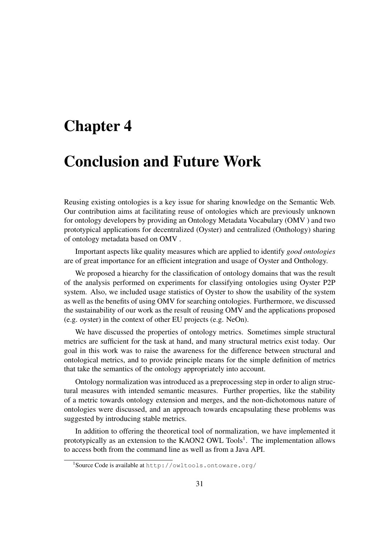# Chapter 4

# Conclusion and Future Work

Reusing existing ontologies is a key issue for sharing knowledge on the Semantic Web. Our contribution aims at facilitating reuse of ontologies which are previously unknown for ontology developers by providing an Ontology Metadata Vocabulary (OMV ) and two prototypical applications for decentralized (Oyster) and centralized (Onthology) sharing of ontology metadata based on OMV .

Important aspects like quality measures which are applied to identify *good ontologies* are of great importance for an efficient integration and usage of Oyster and Onthology.

We proposed a hiearchy for the classification of ontology domains that was the result of the analysis performed on experiments for classifying ontologies using Oyster P2P system. Also, we included usage statistics of Oyster to show the usability of the system as well as the benefits of using OMV for searching ontologies. Furthermore, we discussed the sustainability of our work as the result of reusing OMV and the applications proposed (e.g. oyster) in the context of other EU projects (e.g. NeOn).

We have discussed the properties of ontology metrics. Sometimes simple structural metrics are sufficient for the task at hand, and many structural metrics exist today. Our goal in this work was to raise the awareness for the difference between structural and ontological metrics, and to provide principle means for the simple definition of metrics that take the semantics of the ontology appropriately into account.

Ontology normalization was introduced as a preprocessing step in order to align structural measures with intended semantic measures. Further properties, like the stability of a metric towards ontology extension and merges, and the non-dichotomous nature of ontologies were discussed, and an approach towards encapsulating these problems was suggested by introducing stable metrics.

In addition to offering the theoretical tool of normalization, we have implemented it prototypically as an extension to the KAON2 OWL Tools<sup>1</sup>. The implementation allows to access both from the command line as well as from a Java API.

<sup>1</sup>Source Code is available at http://owltools.ontoware.org/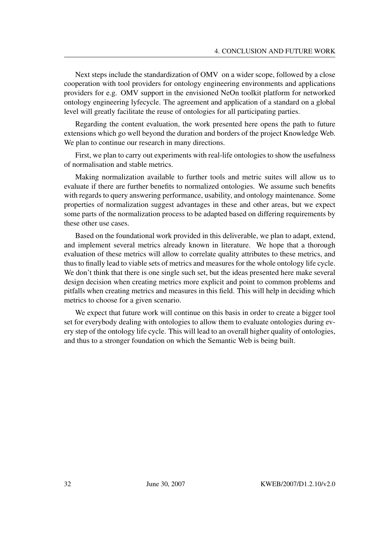Next steps include the standardization of OMV on a wider scope, followed by a close cooperation with tool providers for ontology engineering environments and applications providers for e.g. OMV support in the envisioned NeOn toolkit platform for networked ontology engineering lyfecycle. The agreement and application of a standard on a global level will greatly facilitate the reuse of ontologies for all participating parties.

Regarding the content evaluation, the work presented here opens the path to future extensions which go well beyond the duration and borders of the project Knowledge Web. We plan to continue our research in many directions.

First, we plan to carry out experiments with real-life ontologies to show the usefulness of normalisation and stable metrics.

Making normalization available to further tools and metric suites will allow us to evaluate if there are further benefits to normalized ontologies. We assume such benefits with regards to query answering performance, usability, and ontology maintenance. Some properties of normalization suggest advantages in these and other areas, but we expect some parts of the normalization process to be adapted based on differing requirements by these other use cases.

Based on the foundational work provided in this deliverable, we plan to adapt, extend, and implement several metrics already known in literature. We hope that a thorough evaluation of these metrics will allow to correlate quality attributes to these metrics, and thus to finally lead to viable sets of metrics and measures for the whole ontology life cycle. We don't think that there is one single such set, but the ideas presented here make several design decision when creating metrics more explicit and point to common problems and pitfalls when creating metrics and measures in this field. This will help in deciding which metrics to choose for a given scenario.

We expect that future work will continue on this basis in order to create a bigger tool set for everybody dealing with ontologies to allow them to evaluate ontologies during every step of the ontology life cycle. This will lead to an overall higher quality of ontologies, and thus to a stronger foundation on which the Semantic Web is being built.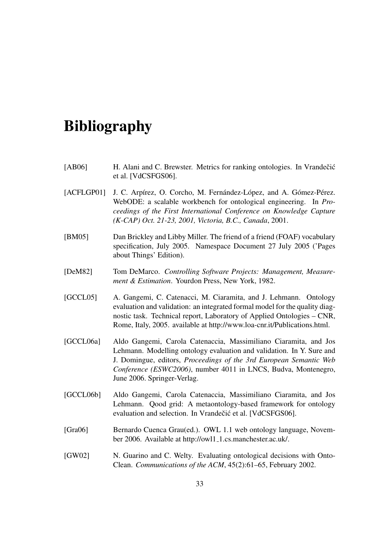# Bibliography

- [AB06] H. Alani and C. Brewster. Metrics for ranking ontologies. In Vrandectic et al. [VdCSFGS06].
- [ACFLGP01] J. C. Arpírez, O. Corcho, M. Fernández-López, and A. Gómez-Pérez. WebODE: a scalable workbench for ontological engineering. In *Proceedings of the First International Conference on Knowledge Capture (K-CAP) Oct. 21-23, 2001, Victoria, B.C., Canada*, 2001.
- [BM05] Dan Brickley and Libby Miller. The friend of a friend (FOAF) vocabulary specification, July 2005. Namespace Document 27 July 2005 ('Pages about Things' Edition).
- [DeM82] Tom DeMarco. *Controlling Software Projects: Management, Measurement & Estimation*. Yourdon Press, New York, 1982.
- [GCCL05] A. Gangemi, C. Catenacci, M. Ciaramita, and J. Lehmann. Ontology evaluation and validation: an integrated formal model for the quality diagnostic task. Technical report, Laboratory of Applied Ontologies – CNR, Rome, Italy, 2005. available at http://www.loa-cnr.it/Publications.html.
- [GCCL06a] Aldo Gangemi, Carola Catenaccia, Massimiliano Ciaramita, and Jos Lehmann. Modelling ontology evaluation and validation. In Y. Sure and J. Domingue, editors, *Proceedings of the 3rd European Semantic Web Conference (ESWC2006)*, number 4011 in LNCS, Budva, Montenegro, June 2006. Springer-Verlag.
- [GCCL06b] Aldo Gangemi, Carola Catenaccia, Massimiliano Ciaramita, and Jos Lehmann. Qood grid: A metaontology-based framework for ontology evaluation and selection. In Vrandečić et al. [VdCSFGS06].
- [Gra06] Bernardo Cuenca Grau(ed.). OWL 1.1 web ontology language, November 2006. Available at http://owl1\_1.cs.manchester.ac.uk/.
- [GW02] N. Guarino and C. Welty. Evaluating ontological decisions with Onto-Clean. *Communications of the ACM*, 45(2):61–65, February 2002.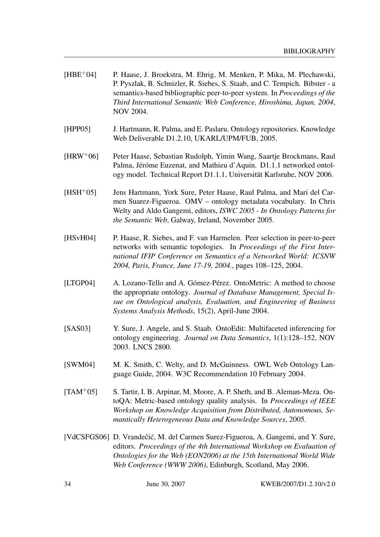- [HBE<sup>+</sup>04] P. Haase, J. Broekstra, M. Ehrig, M. Menken, P. Mika, M. Plechawski, P. Pyszlak, B. Schnizler, R. Siebes, S. Staab, and C. Tempich. Bibster - a semantics-based bibliographic peer-to-peer system. In *Proceedings of the Third International Semantic Web Conference, Hiroshima, Japan, 2004*, NOV 2004.
- [HPP05] J. Hartmann, R. Palma, and E. Paslaru. Ontology repositories. Knowledge Web Deliverable D1.2.10, UKARL/UPM/FUB, 2005.
- [HRW<sup>+</sup>06] Peter Haase, Sebastian Rudolph, Yimin Wang, Saartje Brockmans, Raul Palma, Jéróme Euzenat, and Mathieu d'Aquin. D1.1.1 networked ontology model. Technical Report D1.1.1, Universität Karlsruhe, NOV 2006.
- [HSH<sup>+</sup>05] Jens Hartmann, York Sure, Peter Haase, Raul Palma, and Mari del Carmen Suarez-Figueroa. OMV – ontology metadata vocabulary. In Chris Welty and Aldo Gangemi, editors, *ISWC 2005 - In Ontology Patterns for the Semantic Web*, Galway, Ireland, November 2005.
- [HSvH04] P. Haase, R. Siebes, and F. van Harmelen. Peer selection in peer-to-peer networks with semantic topologies. In *Proceedings of the First International IFIP Conference on Semantics of a Networked World: ICSNW 2004, Paris, France, June 17-19, 2004.*, pages 108–125, 2004.
- [LTGP04] A. Lozano-Tello and A. Gómez-Pérez. OntoMetric: A method to choose the appropriate ontology. *Journal of Database Management, Special Issue on Ontological analysis, Evaluation, and Engineering of Business Systems Analysis Methods*, 15(2), April-June 2004.
- [SAS03] Y. Sure, J. Angele, and S. Staab. OntoEdit: Multifaceted inferencing for ontology engineering. *Journal on Data Semantics*, 1(1):128–152, NOV 2003. LNCS 2800.
- [SWM04] M. K. Smith, C. Welty, and D. McGuinness. OWL Web Ontology Language Guide, 2004. W3C Recommendation 10 February 2004.
- [TAM<sup>+</sup>05] S. Tartir, I. B. Arpinar, M. Moore, A. P. Sheth, and B. Aleman-Meza. OntoQA: Metric-based ontology quality analysis. In *Proceedings of IEEE Workshop on Knowledge Acquisition from Distributed, Autonomous, Semantically Heterogeneous Data and Knowledge Sources*, 2005.
- [VdCSFGS06] D. Vrandečić, M. del Carmen Surez-Figueroa, A. Gangemi, and Y. Sure, editors. *Proceedings of the 4th International Workshop on Evaluation of Ontologies for the Web (EON2006) at the 15th International World Wide Web Conference (WWW 2006)*, Edinburgh, Scotland, May 2006.